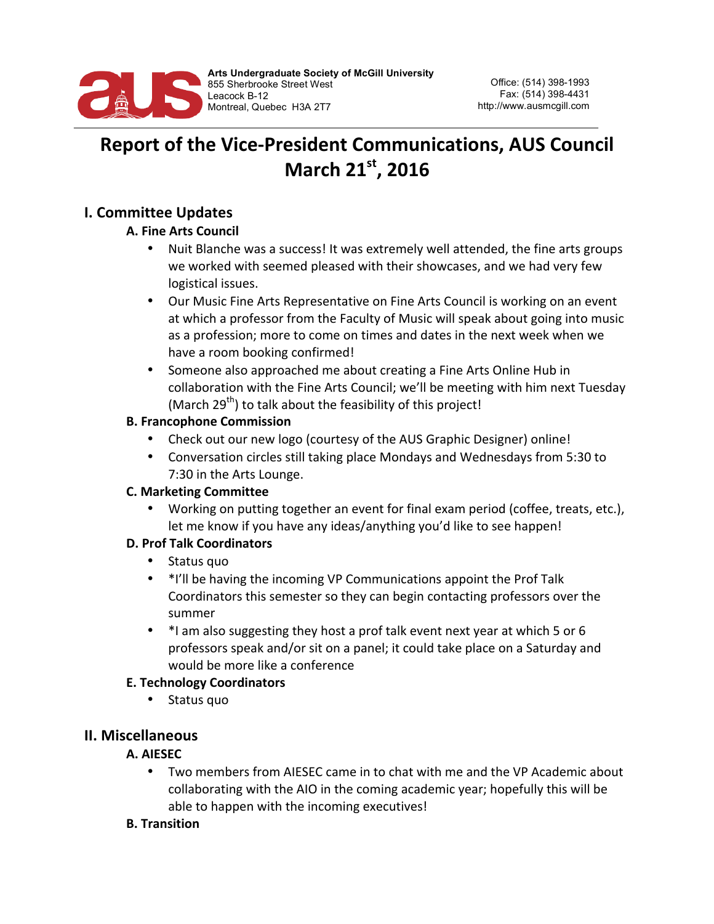

# **Report of the Vice-President Communications, AUS Council March 21st, 2016**

# **I. Committee Updates**

### **A. Fine Arts Council**

- Nuit Blanche was a success! It was extremely well attended, the fine arts groups we worked with seemed pleased with their showcases, and we had very few logistical issues.
- Our Music Fine Arts Representative on Fine Arts Council is working on an event at which a professor from the Faculty of Music will speak about going into music as a profession; more to come on times and dates in the next week when we have a room booking confirmed!
- Someone also approached me about creating a Fine Arts Online Hub in collaboration with the Fine Arts Council; we'll be meeting with him next Tuesday (March  $29^{th}$ ) to talk about the feasibility of this project!

### **B. Francophone Commission**

- Check out our new logo (courtesy of the AUS Graphic Designer) online!
- Conversation circles still taking place Mondays and Wednesdays from 5:30 to 7:30 in the Arts Lounge.

### **C. Marketing Committee**

Working on putting together an event for final exam period (coffee, treats, etc.), let me know if you have any ideas/anything you'd like to see happen!

### **D. Prof Talk Coordinators**

- Status quo
- \*I'll be having the incoming VP Communications appoint the Prof Talk Coordinators this semester so they can begin contacting professors over the summer
- \*I am also suggesting they host a prof talk event next year at which 5 or 6 professors speak and/or sit on a panel; it could take place on a Saturday and would be more like a conference

# **E. Technology Coordinators**

• Status quo

# **II. Miscellaneous**

# **A. AIESEC**

• Two members from AIESEC came in to chat with me and the VP Academic about collaborating with the AIO in the coming academic year; hopefully this will be able to happen with the incoming executives!

### **B. Transition**